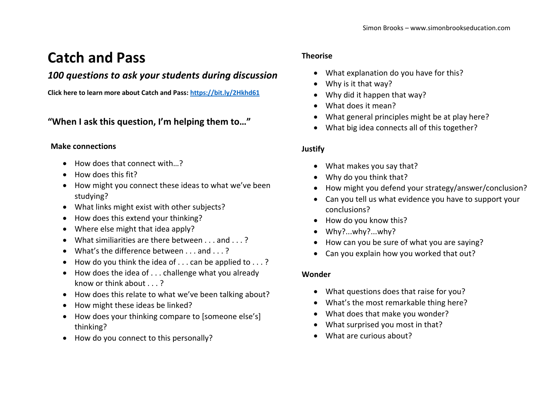# **Catch and Pass**

# *100 questions to ask your students during discussion*

**Click here to learn more about Catch and Pass:<https://bit.ly/2Hkhd61>**

**"When I ask this question, I'm helping them to…"**

# **Make connections**

- How does that connect with...?
- How does this fit?
- How might you connect these ideas to what we've been studying?
- What links might exist with other subjects?
- How does this extend your thinking?
- Where else might that idea apply?
- What similiarities are there between . . . and . . . ?
- $\bullet$  What's the difference between and ?
- $\bullet$  How do you think the idea of . . . can be applied to . . .?
- How does the idea of . . . challenge what you already know or think about . . . ?
- How does this relate to what we've been talking about?
- How might these ideas be linked?
- How does your thinking compare to [someone else's] thinking?
- How do you connect to this personally?

# **Theorise**

- What explanation do you have for this?
- Why is it that way?
- Why did it happen that way?
- What does it mean?
- What general principles might be at play here?
- What big idea connects all of this together?

# **Justify**

- What makes you say that?
- Why do you think that?
- How might you defend your strategy/answer/conclusion?
- Can you tell us what evidence you have to support your conclusions?
- How do you know this?
- Why?...why?...why?
- How can you be sure of what you are saying?
- Can you explain how you worked that out?

# **Wonder**

- What questions does that raise for you?
- What's the most remarkable thing here?
- What does that make you wonder?
- What surprised you most in that?
- What are curious about?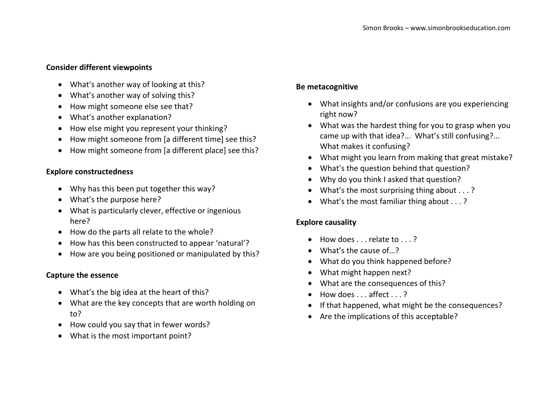#### **Consider different viewpoints**

- What's another way of looking at this?
- What's another way of solving this?
- How might someone else see that?
- What's another explanation?
- How else might you represent your thinking?
- How might someone from [a different time] see this?
- How might someone from [a different place] see this?

#### **Explore constructedness**

- Why has this been put together this way?
- What's the purpose here?
- What is particularly clever, effective or ingenious here?
- How do the parts all relate to the whole?
- How has this been constructed to appear 'natural'?
- How are you being positioned or manipulated by this?

#### **Capture the essence**

- What's the big idea at the heart of this?
- What are the key concepts that are worth holding on to?
- How could you say that in fewer words?
- What is the most important point?

#### **Be metacognitive**

- What insights and/or confusions are you experiencing right now?
- What was the hardest thing for you to grasp when you came up with that idea?... What's still confusing?... What makes it confusing?
- What might you learn from making that great mistake?
- What's the question behind that question?
- Why do you think I asked that question?
- What's the most surprising thing about . . . ?
- What's the most familiar thing about . . . ?

#### **Explore causality**

- $\bullet$  How does  $\bullet$  relate to  $\bullet$  ?
- What's the cause of ?
- What do you think happened before?
- What might happen next?
- What are the consequences of this?
- $\bullet$  How does . . . affect . . . ?
- If that happened, what might be the consequences?
- Are the implications of this acceptable?